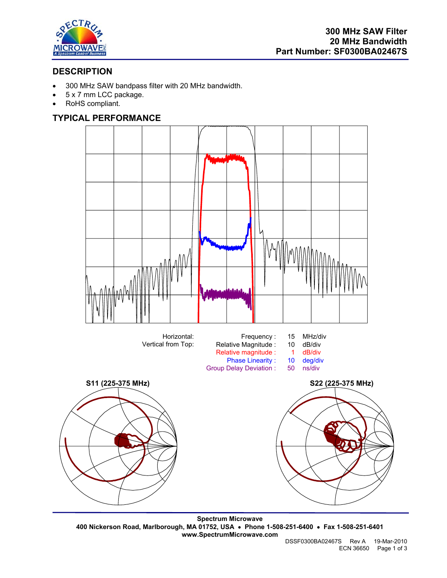

# **DESCRIPTION**

- 300 MHz SAW bandpass filter with 20 MHz bandwidth.
- 5 x 7 mm LCC package.
- RoHS compliant.

# **TYPICAL PERFORMANCE**



**Spectrum Microwave 400 Nickerson Road, Marlborough, MA 01752, USA** • **Phone 1-508-251-6400** • **Fax 1-508-251-6401 www.SpectrumMicrowave.com**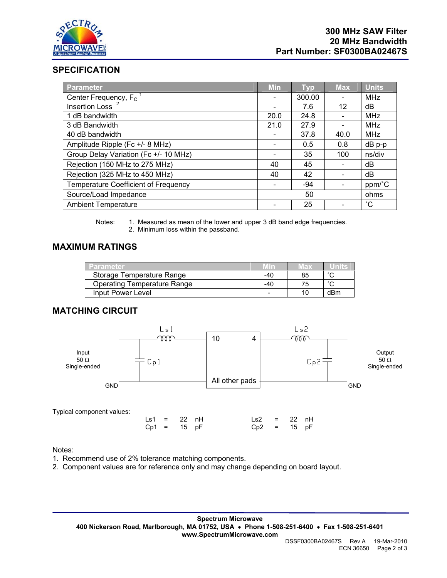

# **SPECIFICATION**

| <b>Parameter</b>                      | <b>Min</b> | <b>Typ</b> | <b>Max</b>               | <b>Units</b> |
|---------------------------------------|------------|------------|--------------------------|--------------|
| Center Frequency, $F_c$ <sup>1</sup>  |            | 300.00     |                          | MHz          |
| Insertion Loss <sup>2</sup>           |            | 7.6        | 12                       | dB           |
| 1 dB bandwidth                        | 20.0       | 24.8       | $\overline{\phantom{0}}$ | MHz          |
| 3 dB Bandwidth                        | 21.0       | 27.9       |                          | MHz          |
| 40 dB bandwidth                       |            | 37.8       | 40.0                     | MHz          |
| Amplitude Ripple (Fc +/- 8 MHz)       |            | 0.5        | 0.8                      | $dB$ p-p     |
| Group Delay Variation (Fc +/- 10 MHz) |            | 35         | 100                      | ns/div       |
| Rejection (150 MHz to 275 MHz)        | 40         | 45         |                          | dB           |
| Rejection (325 MHz to 450 MHz)        | 40         | 42         |                          | dB           |
| Temperature Coefficient of Frequency  |            | $-94$      |                          | ppm/°C       |
| Source/Load Impedance                 |            | 50         |                          | ohms         |
| <b>Ambient Temperature</b>            |            | 25         |                          | $^{\circ}$ C |

Notes: 1. Measured as mean of the lower and upper 3 dB band edge frequencies. 2. Minimum loss within the passband.

## **MAXIMUM RATINGS**

| Parameter                          | <b>MID</b> | vax |     |
|------------------------------------|------------|-----|-----|
| Storage Temperature Range          | -40        |     |     |
| <b>Operating Temperature Range</b> | -40        |     |     |
| Input Power Level                  |            |     | dBm |

# **MATCHING CIRCUIT**



### Notes:

- 1. Recommend use of 2% tolerance matching components.
- 2. Component values are for reference only and may change depending on board layout.